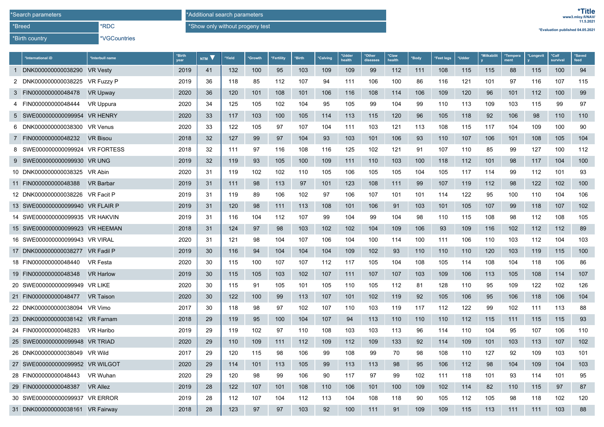\*Birth country

\*VGCountries

\*RDC

\*Show only without progeny test

\*Additional search parameters

**\*Evaluation published 04.05.2021**

| *International iD                | *Interbull name   | *Birth<br>vear | NTM V | *Yield | *Growth | *Fertility | *Birth | *Calving | *Udder<br>health | *Other<br>diseases | *Claw<br>health | *Body | *Feet legs | *Udder | *Milkabilit | *Tempera<br>ment | *Longevit | *Calf<br>survival | *Saved<br>feed |
|----------------------------------|-------------------|----------------|-------|--------|---------|------------|--------|----------|------------------|--------------------|-----------------|-------|------------|--------|-------------|------------------|-----------|-------------------|----------------|
| 1 DNK000000000038290             | <b>VR Vesty</b>   | 2019           | 41    | 132    | 100     | 95         | 103    | 109      | 109              | 99                 | 112             | 111   | 108        | 115    | 115         | 88               | 115       | 100               | 94             |
| 2 DNK000000000038225             | <b>VR Fuzzy P</b> | 2019           | 36    | 118    | 85      | 112        | 107    | 94       | 111              | 106                | 100             | 86    | 116        | 121    | 101         | 97               | 116       | 107               | 115            |
| 3 FIN000000000048478             | <b>VR Upway</b>   | 2020           | 36    | 120    | 101     | 108        | 101    | 106      | 116              | 108                | 114             | 106   | 109        | 120    | 96          | 101              | 112       | 100               | 99             |
| 4 FIN000000000048444             | VR Uppura         | 2020           | 34    | 125    | 105     | 102        | 104    | 95       | 105              | 99                 | 104             | 99    | 110        | 113    | 109         | 103              | 115       | 99                | 97             |
| 5 SWE000000000099954             | <b>VR HENRY</b>   | 2020           | 33    | 117    | 103     | 100        | 105    | 114      | 113              | 115                | 120             | 96    | 105        | 118    | 92          | 106              | 98        | 110               | 110            |
| 6 DNK000000000038300             | VR Venus          | 2020           | 33    | 122    | 105     | 97         | 107    | 104      | 111              | 103                | 121             | 113   | 108        | 115    | 117         | 104              | 109       | 100               | 90             |
| 7 FIN000000000048232             | <b>VR Bisou</b>   | 2018           | 32    | 127    | 99      | 97         | 104    | 93       | 103              | 101                | 106             | 93    | 110        | 107    | 106         | 101              | 108       | 105               | 104            |
| 8 SWE000000000099924 VR FORTESS  |                   | 2018           | 32    | 111    | 97      | 116        | 108    | 116      | 125              | 102                | 121             | 91    | 107        | 110    | 85          | 99               | 127       | 100               | 112            |
| 9 SWE000000000099930             | <b>VR UNG</b>     | 2019           | 32    | 119    | 93      | 105        | 100    | 109      | 111              | 110                | 103             | 100   | 118        | 112    | 101         | 98               | 117       | 104               | 100            |
| 10 DNK000000000038325            | VR Abin           | 2020           | 31    | 119    | 102     | 102        | 110    | 105      | 106              | 105                | 105             | 104   | 105        | 117    | 114         | 99               | 112       | 101               | 93             |
| 11 FIN000000000048388            | <b>VR Barbar</b>  | 2019           | 31    | 111    | 98      | 113        | 97     | 101      | 123              | 108                | 111             | 99    | 107        | 119    | 112         | 98               | 122       | 102               | 100            |
| 12 DNK000000000038226            | VR Facit P        | 2019           | 31    | 119    | 89      | 106        | 102    | 97       | 106              | 107                | 101             | 101   | 114        | 122    | 95          | 100              | 110       | 104               | 106            |
| 13 SWE000000000099940 VR FLAIR P |                   | 2019           | 31    | 120    | 98      | 111        | 113    | 108      | 101              | 106                | 91              | 103   | 101        | 105    | 107         | 99               | 118       | 107               | 102            |
| 14 SWE000000000099935 VR HAKVIN  |                   | 2019           | 31    | 116    | 104     | 112        | 107    | 99       | 104              | 99                 | 104             | 98    | 110        | 115    | 108         | 98               | 112       | 108               | 105            |
| 15 SWE000000000099923 VR HEEMAN  |                   | 2018           | 31    | 124    | 97      | 98         | 103    | 102      | 102              | 104                | 109             | 106   | 93         | 109    | 116         | 102              | 112       | 112               | 89             |
| 16 SWE000000000099943 VR VIRAL   |                   | 2020           | 31    | 121    | 98      | 104        | 107    | 106      | 104              | 100                | 114             | 100   | 111        | 106    | 110         | 103              | 112       | 104               | 103            |
| 17 DNK000000000038277 VR Fadil P |                   | 2019           | 30    | 116    | 94      | 104        | 104    | 104      | 109              | 102                | 93              | 110   | 110        | 110    | 120         | 103              | 119       | 115               | 100            |
| 18 FIN000000000048440            | <b>VR Festa</b>   | 2020           | 30    | 115    | 100     | 107        | 107    | 112      | 117              | 105                | 104             | 108   | 105        | 114    | 108         | 104              | 118       | 106               | 86             |
| 19 FIN000000000048348            | <b>VR Harlow</b>  | 2019           | 30    | 115    | 105     | 103        | 102    | 107      | 111              | 107                | 107             | 103   | 109        | 106    | 113         | 105              | 108       | 114               | 107            |
| 20 SWE000000000099949            | <b>VR LIKE</b>    | 2020           | 30    | 115    | 91      | 105        | 101    | 105      | 110              | 105                | 112             | 81    | 128        | 110    | 95          | 109              | 122       | 102               | 126            |
| 21 FIN000000000048477            | <b>VR Taison</b>  | 2020           | 30    | 122    | 100     | 99         | 113    | 107      | 101              | 102                | 119             | 92    | 105        | 106    | 95          | 106              | 118       | 106               | 104            |
| 22 DNK000000000038094            | VR Vimo           | 2017           | 30    | 118    | 98      | 97         | 102    | 107      | 110              | 103                | 119             | 117   | 112        | 122    | 99          | 102              | 111       | 113               | 88             |
| 23 DNK000000000038142            | <b>VR Farnam</b>  | 2018           | 29    | 119    | 95      | 100        | 104    | 107      | 94               | 113                | 110             | 110   | 110        | 112    | 115         | 111              | 115       | 115               | 93             |
| 24 FIN000000000048283            | <b>VR Haribo</b>  | 2019           | 29    | 119    | 102     | 97         | 110    | 108      | 103              | 103                | 113             | 96    | 114        | 110    | 104         | 95               | 107       | 106               | 110            |
| 25 SWE000000000099948            | <b>VR TRIAD</b>   | 2020           | 29    | 110    | 109     | 111        | 112    | 109      | 112              | 109                | 133             | 92    | 114        | 109    | 101         | 103              | 113       | 107               | 102            |
| 26 DNK000000000038049            | VR Wild           | 2017           | 29    | 120    | 115     | 98         | 106    | 99       | 108              | 99                 | 70              | 98    | 108        | 110    | 127         | 92               | 109       | 103               | 101            |
| 27 SWE000000000099952 VR WILGOT  |                   | 2020           | 29    | 114    | 101     | 113        | 105    | 99       | 113              | 113                | 98              | 95    | 106        | 112    | 98          | 104              | 109       | 104               | 103            |
| 28 FIN000000000048443            | VR Wuhan          | 2020           | 29    | 120    | 98      | 99         | 106    | 90       | 117              | 97                 | 99              | 102   | 111        | 118    | 101         | 93               | 114       | 101               | 95             |
| 29 FIN000000000048387            | <b>VR Allez</b>   | 2019           | 28    | 122    | 107     | 101        | 108    | 110      | 106              | 101                | 100             | 109   | 102        | 114    | 82          | 110              | 115       | 97                | 87             |
| 30 SWE000000000099937            | <b>VR ERROR</b>   | 2019           | 28    | 112    | 107     | 104        | 112    | 113      | 104              | 108                | 118             | 90    | 105        | 112    | 105         | 98               | 118       | 102               | 120            |
| 31 DNK000000000038161            | <b>VR Fairway</b> | 2018           | 28    | 123    | 97      | 97         | 103    | 92       | 100              | 111                | 91              | 109   | 109        | 115    | 113         | 111              | 111       | 103               | 88             |